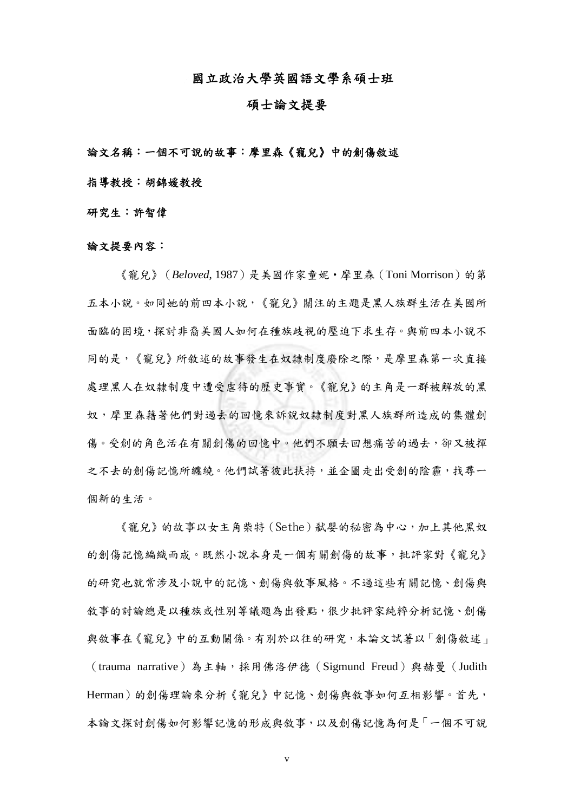國立政治大學英國語文學系碩士班

## 碩士論文提要

## 論文名稱:一個不可說的故事:摩里森《寵兒》中的創傷敘述

指導教授:胡錦媛教授

研究生:許智偉

## 論文提要內容:

《寵兒》(*Beloved*, 1987)是美國作家童妮‧摩里森(Toni Morrison)的第 五本小說。如同她的前四本小說,《寵兒》關注的主題是黑人族群生活在美國所 面臨的困境,探討非裔美國人如何在種族歧視的壓迫下求生存。與前四本小說不 同的是,《寵兒》所敘述的故事發生在奴隸制度廢除之際,是摩里森第一次直接 處理黑人在奴隸制度中遭受虐待的歷史事實。《寵兒》的主角是一群被解放的黑 奴,摩里森藉著他們對過去的回憶來訴說奴隸制度對黑人族群所造成的集體創 傷。受創的角色活在有關創傷的回憶中。他們不願去回想痛苦的過去,卻又被揮 之不去的創傷記憶所纏繞。他們試著彼此扶持,並企圖走出受創的陰霾,找尋一 個新的生活。

《寵兒》的故事以女主角柴特(Sethe)弒嬰的秘密為中心,加上其他黑奴 的創傷記憶編織而成。既然小說本身是一個有關創傷的故事,批評家對《寵兒》 的研究也就常涉及小說中的記憶、創傷與敘事風格。不過這些有關記憶、創傷與 敘事的討論總是以種族或性別等議題為出發點,很少批評家純粹分析記憶、創傷 與敘事在《寵兒》中的互動關係。有別於以往的研究,本論文試著以「創傷敘述」 (trauma narrative)為主軸,採用佛洛伊德(Sigmund Freud)與赫曼(Judith Herman)的創傷理論來分析《寵兒》中記憶、創傷與敘事如何互相影響。首先, 本論文探討創傷如何影響記憶的形成與敘事,以及創傷記憶為何是「一個不可說

v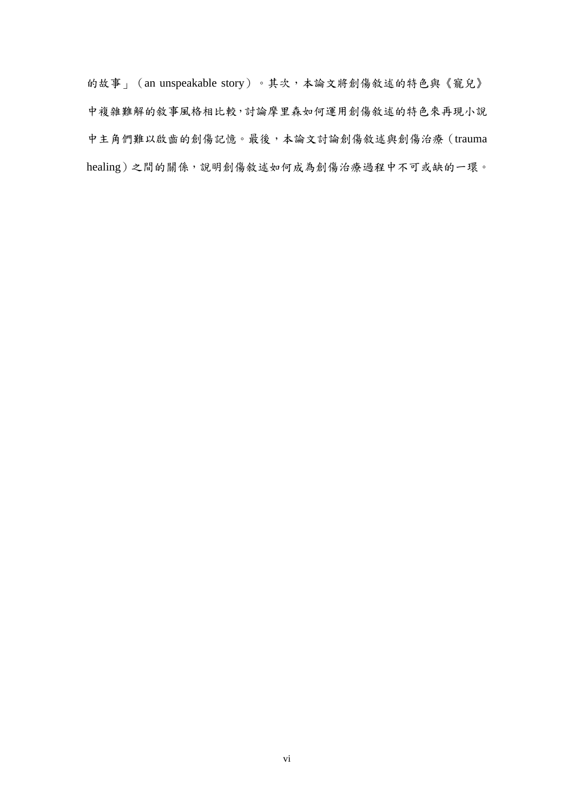的故事」(an unspeakable story)。其次,本論文將創傷敘述的特色與《寵兒》 中複雜難解的敘事風格相比較,討論摩里森如何運用創傷敘述的特色來再現小說 中主角們難以啟齒的創傷記憶。最後,本論文討論創傷敘述與創傷治療(trauma healing)之間的關係,說明創傷敘述如何成為創傷治療過程中不可或缺的一環。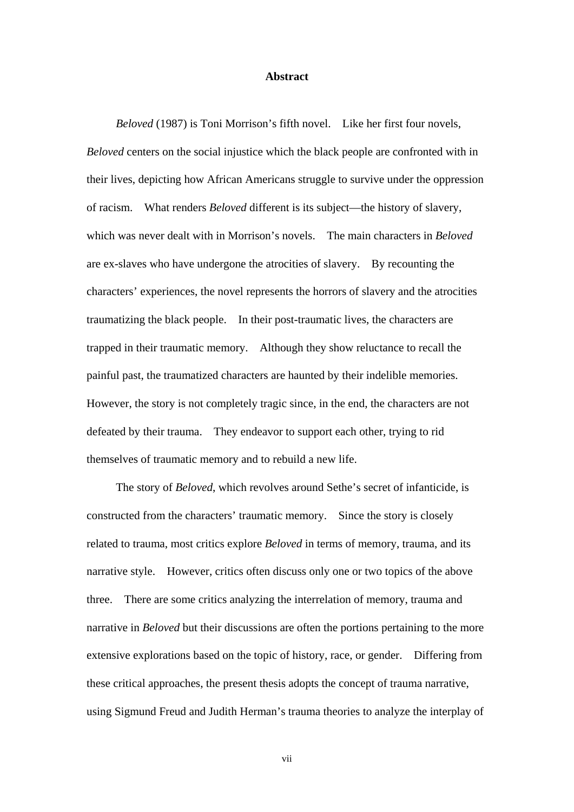## **Abstract**

*Beloved* (1987) is Toni Morrison's fifth novel. Like her first four novels, *Beloved* centers on the social injustice which the black people are confronted with in their lives, depicting how African Americans struggle to survive under the oppression of racism. What renders *Beloved* different is its subject—the history of slavery, which was never dealt with in Morrison's novels. The main characters in *Beloved* are ex-slaves who have undergone the atrocities of slavery. By recounting the characters' experiences, the novel represents the horrors of slavery and the atrocities traumatizing the black people. In their post-traumatic lives, the characters are trapped in their traumatic memory. Although they show reluctance to recall the painful past, the traumatized characters are haunted by their indelible memories. However, the story is not completely tragic since, in the end, the characters are not defeated by their trauma. They endeavor to support each other, trying to rid themselves of traumatic memory and to rebuild a new life.

The story of *Beloved*, which revolves around Sethe's secret of infanticide, is constructed from the characters' traumatic memory. Since the story is closely related to trauma, most critics explore *Beloved* in terms of memory, trauma, and its narrative style. However, critics often discuss only one or two topics of the above three. There are some critics analyzing the interrelation of memory, trauma and narrative in *Beloved* but their discussions are often the portions pertaining to the more extensive explorations based on the topic of history, race, or gender. Differing from these critical approaches, the present thesis adopts the concept of trauma narrative, using Sigmund Freud and Judith Herman's trauma theories to analyze the interplay of

vii